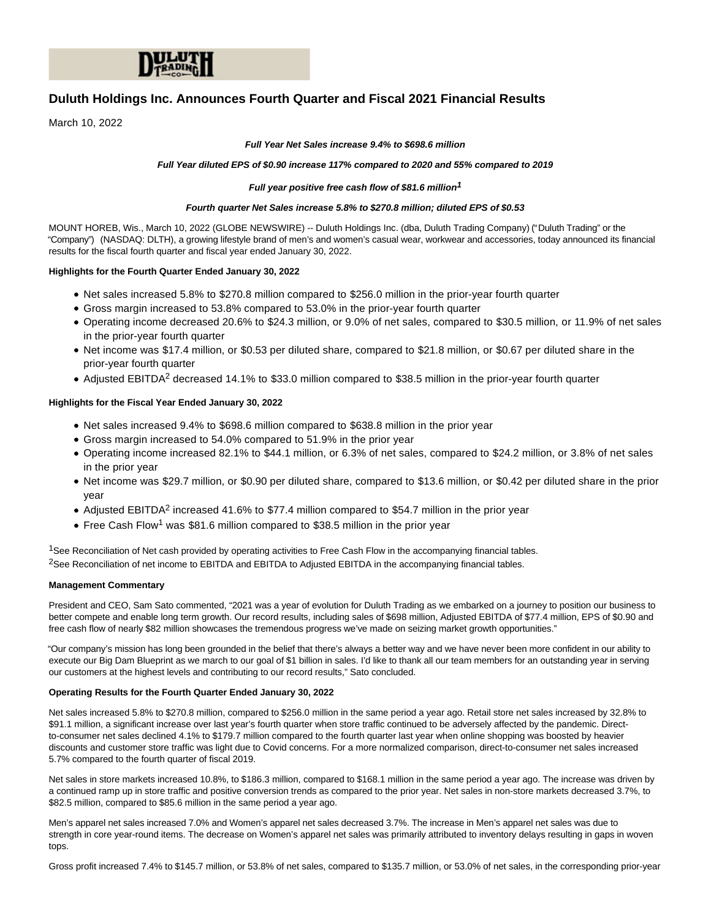

# **Duluth Holdings Inc. Announces Fourth Quarter and Fiscal 2021 Financial Results**

March 10, 2022

#### **Full Year Net Sales increase 9.4% to \$698.6 million**

#### **Full Year diluted EPS of \$0.90 increase 117% compared to 2020 and 55% compared to 2019**

#### **Full year positive free cash flow of \$81.6 million1**

#### **Fourth quarter Net Sales increase 5.8% to \$270.8 million; diluted EPS of \$0.53**

MOUNT HOREB, Wis., March 10, 2022 (GLOBE NEWSWIRE) -- Duluth Holdings Inc. (dba, Duluth Trading Company) ("Duluth Trading" or the "Company") (NASDAQ: DLTH), a growing lifestyle brand of men's and women's casual wear, workwear and accessories, today announced its financial results for the fiscal fourth quarter and fiscal year ended January 30, 2022.

#### **Highlights for the Fourth Quarter Ended January 30, 2022**

- Net sales increased 5.8% to \$270.8 million compared to \$256.0 million in the prior-year fourth quarter
- Gross margin increased to 53.8% compared to 53.0% in the prior-year fourth quarter
- Operating income decreased 20.6% to \$24.3 million, or 9.0% of net sales, compared to \$30.5 million, or 11.9% of net sales in the prior-year fourth quarter
- Net income was \$17.4 million, or \$0.53 per diluted share, compared to \$21.8 million, or \$0.67 per diluted share in the prior-year fourth quarter
- Adjusted EBITDA<sup>2</sup> decreased 14.1% to \$33.0 million compared to \$38.5 million in the prior-year fourth quarter

## **Highlights for the Fiscal Year Ended January 30, 2022**

- Net sales increased 9.4% to \$698.6 million compared to \$638.8 million in the prior year
- Gross margin increased to 54.0% compared to 51.9% in the prior year
- Operating income increased 82.1% to \$44.1 million, or 6.3% of net sales, compared to \$24.2 million, or 3.8% of net sales in the prior year
- Net income was \$29.7 million, or \$0.90 per diluted share, compared to \$13.6 million, or \$0.42 per diluted share in the prior year
- Adjusted EBITDA<sup>2</sup> increased 41.6% to \$77.4 million compared to \$54.7 million in the prior year
- Free Cash Flow<sup>1</sup> was \$81.6 million compared to \$38.5 million in the prior year

<sup>1</sup>See Reconciliation of Net cash provided by operating activities to Free Cash Flow in the accompanying financial tables. <sup>2</sup>See Reconciliation of net income to EBITDA and EBITDA to Adjusted EBITDA in the accompanying financial tables.

#### **Management Commentary**

President and CEO, Sam Sato commented, "2021 was a year of evolution for Duluth Trading as we embarked on a journey to position our business to better compete and enable long term growth. Our record results, including sales of \$698 million, Adjusted EBITDA of \$77.4 million, EPS of \$0.90 and free cash flow of nearly \$82 million showcases the tremendous progress we've made on seizing market growth opportunities."

"Our company's mission has long been grounded in the belief that there's always a better way and we have never been more confident in our ability to execute our Big Dam Blueprint as we march to our goal of \$1 billion in sales. I'd like to thank all our team members for an outstanding year in serving our customers at the highest levels and contributing to our record results," Sato concluded.

#### **Operating Results for the Fourth Quarter Ended January 30, 2022**

Net sales increased 5.8% to \$270.8 million, compared to \$256.0 million in the same period a year ago. Retail store net sales increased by 32.8% to \$91.1 million, a significant increase over last year's fourth quarter when store traffic continued to be adversely affected by the pandemic. Directto-consumer net sales declined 4.1% to \$179.7 million compared to the fourth quarter last year when online shopping was boosted by heavier discounts and customer store traffic was light due to Covid concerns. For a more normalized comparison, direct-to-consumer net sales increased 5.7% compared to the fourth quarter of fiscal 2019.

Net sales in store markets increased 10.8%, to \$186.3 million, compared to \$168.1 million in the same period a year ago. The increase was driven by a continued ramp up in store traffic and positive conversion trends as compared to the prior year. Net sales in non-store markets decreased 3.7%, to \$82.5 million, compared to \$85.6 million in the same period a year ago.

Men's apparel net sales increased 7.0% and Women's apparel net sales decreased 3.7%. The increase in Men's apparel net sales was due to strength in core year-round items. The decrease on Women's apparel net sales was primarily attributed to inventory delays resulting in gaps in woven tops.

Gross profit increased 7.4% to \$145.7 million, or 53.8% of net sales, compared to \$135.7 million, or 53.0% of net sales, in the corresponding prior-year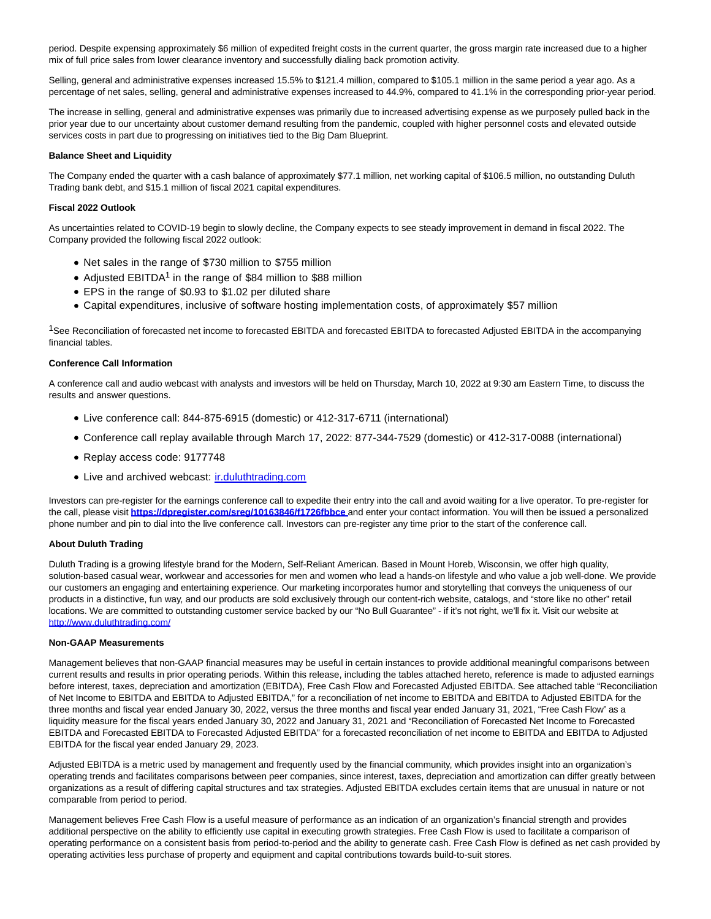period. Despite expensing approximately \$6 million of expedited freight costs in the current quarter, the gross margin rate increased due to a higher mix of full price sales from lower clearance inventory and successfully dialing back promotion activity.

Selling, general and administrative expenses increased 15.5% to \$121.4 million, compared to \$105.1 million in the same period a year ago. As a percentage of net sales, selling, general and administrative expenses increased to 44.9%, compared to 41.1% in the corresponding prior-year period.

The increase in selling, general and administrative expenses was primarily due to increased advertising expense as we purposely pulled back in the prior year due to our uncertainty about customer demand resulting from the pandemic, coupled with higher personnel costs and elevated outside services costs in part due to progressing on initiatives tied to the Big Dam Blueprint.

#### **Balance Sheet and Liquidity**

The Company ended the quarter with a cash balance of approximately \$77.1 million, net working capital of \$106.5 million, no outstanding Duluth Trading bank debt, and \$15.1 million of fiscal 2021 capital expenditures.

#### **Fiscal 2022 Outlook**

As uncertainties related to COVID-19 begin to slowly decline, the Company expects to see steady improvement in demand in fiscal 2022. The Company provided the following fiscal 2022 outlook:

- Net sales in the range of \$730 million to \$755 million
- Adjusted EBITDA<sup>1</sup> in the range of \$84 million to \$88 million
- EPS in the range of \$0.93 to \$1.02 per diluted share
- Capital expenditures, inclusive of software hosting implementation costs, of approximately \$57 million

<sup>1</sup>See Reconciliation of forecasted net income to forecasted EBITDA and forecasted EBITDA to forecasted Adjusted EBITDA in the accompanying financial tables.

#### **Conference Call Information**

A conference call and audio webcast with analysts and investors will be held on Thursday, March 10, 2022 at 9:30 am Eastern Time, to discuss the results and answer questions.

- Live conference call: 844-875-6915 (domestic) or 412-317-6711 (international)
- Conference call replay available through March 17, 2022: 877-344-7529 (domestic) or 412-317-0088 (international)
- Replay access code: 9177748
- Live and archived webcast: ir.duluthtrading.com

Investors can pre-register for the earnings conference call to expedite their entry into the call and avoid waiting for a live operator. To pre-register for the call, please visit **[https://dpregister.com/sreg/10163846/f1726fbbce](https://www.globenewswire.com/Tracker?data=W9P7518GeWKaL_qwY2GT6muaIgzjnOpFWUcaVruqNBmriIEC5OMj8f9QqnvgM0gkpURn4g4vGtNw3HuLeAcSZYwpb_lscISyy6uLdt-oDVACYOlD8ohrD284G3ROk0EU1I8DrbdpcjTQ9xCE8Ro6fd4eAwE0NtoiZFMmBTaNfL8=)** and enter your contact information. You will then be issued a personalized phone number and pin to dial into the live conference call. Investors can pre-register any time prior to the start of the conference call.

#### **About Duluth Trading**

Duluth Trading is a growing lifestyle brand for the Modern, Self-Reliant American, Based in Mount Horeb, Wisconsin, we offer high quality, solution-based casual wear, workwear and accessories for men and women who lead a hands-on lifestyle and who value a job well-done. We provide our customers an engaging and entertaining experience. Our marketing incorporates humor and storytelling that conveys the uniqueness of our products in a distinctive, fun way, and our products are sold exclusively through our content-rich website, catalogs, and "store like no other" retail locations. We are committed to outstanding customer service backed by our "No Bull Guarantee" - if it's not right, we'll fix it. Visit our website at [http://www.duluthtrading.com/](https://www.globenewswire.com/Tracker?data=Wts3Y92dd7e4zcGszRziICsKAz62vw7aodPlV_8QIYs-2XtcN0M_J47IIh4L5eWgyvekYqdRboEdkTn5mOmYXdO66xPR4UzSELkyv9aOEL8wheOyMXKeTbNKtMmJ2g3k)

#### **Non-GAAP Measurements**

Management believes that non-GAAP financial measures may be useful in certain instances to provide additional meaningful comparisons between current results and results in prior operating periods. Within this release, including the tables attached hereto, reference is made to adjusted earnings before interest, taxes, depreciation and amortization (EBITDA), Free Cash Flow and Forecasted Adjusted EBITDA. See attached table "Reconciliation of Net Income to EBITDA and EBITDA to Adjusted EBITDA," for a reconciliation of net income to EBITDA and EBITDA to Adjusted EBITDA for the three months and fiscal year ended January 30, 2022, versus the three months and fiscal year ended January 31, 2021, "Free Cash Flow" as a liquidity measure for the fiscal years ended January 30, 2022 and January 31, 2021 and "Reconciliation of Forecasted Net Income to Forecasted EBITDA and Forecasted EBITDA to Forecasted Adjusted EBITDA" for a forecasted reconciliation of net income to EBITDA and EBITDA to Adjusted EBITDA for the fiscal year ended January 29, 2023.

Adjusted EBITDA is a metric used by management and frequently used by the financial community, which provides insight into an organization's operating trends and facilitates comparisons between peer companies, since interest, taxes, depreciation and amortization can differ greatly between organizations as a result of differing capital structures and tax strategies. Adjusted EBITDA excludes certain items that are unusual in nature or not comparable from period to period.

Management believes Free Cash Flow is a useful measure of performance as an indication of an organization's financial strength and provides additional perspective on the ability to efficiently use capital in executing growth strategies. Free Cash Flow is used to facilitate a comparison of operating performance on a consistent basis from period-to-period and the ability to generate cash. Free Cash Flow is defined as net cash provided by operating activities less purchase of property and equipment and capital contributions towards build-to-suit stores.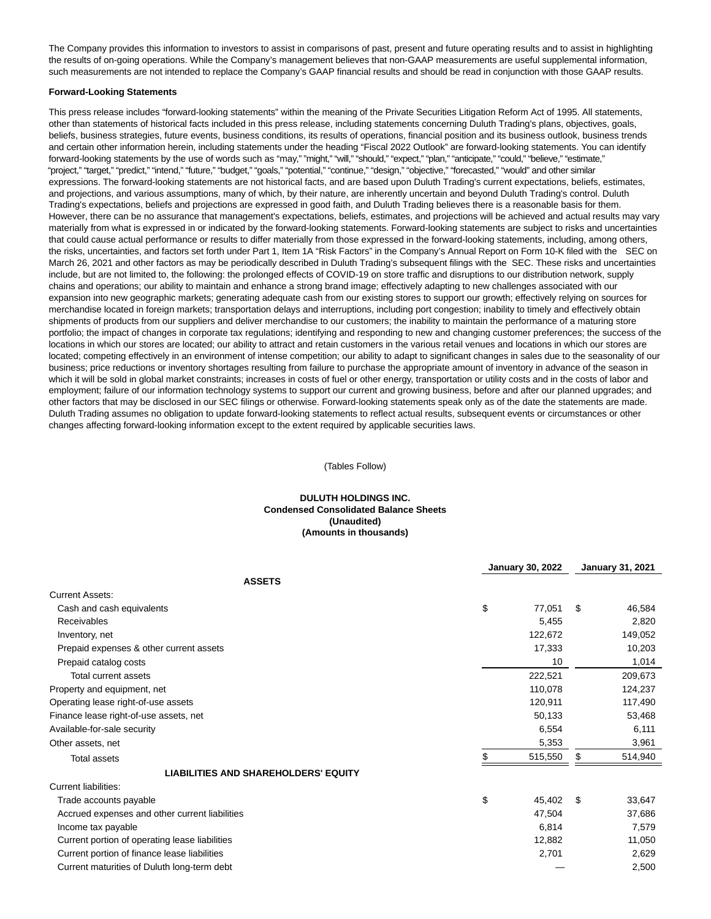The Company provides this information to investors to assist in comparisons of past, present and future operating results and to assist in highlighting the results of on-going operations. While the Company's management believes that non-GAAP measurements are useful supplemental information, such measurements are not intended to replace the Company's GAAP financial results and should be read in conjunction with those GAAP results.

#### **Forward-Looking Statements**

This press release includes "forward-looking statements" within the meaning of the Private Securities Litigation Reform Act of 1995. All statements, other than statements of historical facts included in this press release, including statements concerning Duluth Trading's plans, objectives, goals, beliefs, business strategies, future events, business conditions, its results of operations, financial position and its business outlook, business trends and certain other information herein, including statements under the heading "Fiscal 2022 Outlook" are forward-looking statements. You can identify forward-looking statements by the use of words such as "may," "might," "will," "should," "expect," "plan," "anticipate," "could," "believe," "estimate," "project," "target," "predict," "intend," "future," "budget," "goals," "potential," "continue," "design," "objective," "forecasted," "would" and other similar expressions. The forward-looking statements are not historical facts, and are based upon Duluth Trading's current expectations, beliefs, estimates, and projections, and various assumptions, many of which, by their nature, are inherently uncertain and beyond Duluth Trading's control. Duluth Trading's expectations, beliefs and projections are expressed in good faith, and Duluth Trading believes there is a reasonable basis for them. However, there can be no assurance that management's expectations, beliefs, estimates, and projections will be achieved and actual results may vary materially from what is expressed in or indicated by the forward-looking statements. Forward-looking statements are subject to risks and uncertainties that could cause actual performance or results to differ materially from those expressed in the forward-looking statements, including, among others, the risks, uncertainties, and factors set forth under Part 1, Item 1A "Risk Factors" in the Company's Annual Report on Form 10-K filed with the SEC on March 26, 2021 and other factors as may be periodically described in Duluth Trading's subsequent filings with the SEC. These risks and uncertainties include, but are not limited to, the following: the prolonged effects of COVID-19 on store traffic and disruptions to our distribution network, supply chains and operations; our ability to maintain and enhance a strong brand image; effectively adapting to new challenges associated with our expansion into new geographic markets; generating adequate cash from our existing stores to support our growth; effectively relying on sources for merchandise located in foreign markets; transportation delays and interruptions, including port congestion; inability to timely and effectively obtain shipments of products from our suppliers and deliver merchandise to our customers; the inability to maintain the performance of a maturing store portfolio; the impact of changes in corporate tax regulations; identifying and responding to new and changing customer preferences; the success of the locations in which our stores are located; our ability to attract and retain customers in the various retail venues and locations in which our stores are located; competing effectively in an environment of intense competition; our ability to adapt to significant changes in sales due to the seasonality of our business; price reductions or inventory shortages resulting from failure to purchase the appropriate amount of inventory in advance of the season in which it will be sold in global market constraints; increases in costs of fuel or other energy, transportation or utility costs and in the costs of labor and employment; failure of our information technology systems to support our current and growing business, before and after our planned upgrades; and other factors that may be disclosed in our SEC filings or otherwise. Forward-looking statements speak only as of the date the statements are made. Duluth Trading assumes no obligation to update forward-looking statements to reflect actual results, subsequent events or circumstances or other changes affecting forward-looking information except to the extent required by applicable securities laws.

(Tables Follow)

# **DULUTH HOLDINGS INC. Condensed Consolidated Balance Sheets (Unaudited) (Amounts in thousands)**

|                                                | <b>January 30, 2022</b> |         |     | <b>January 31, 2021</b> |  |
|------------------------------------------------|-------------------------|---------|-----|-------------------------|--|
| <b>ASSETS</b>                                  |                         |         |     |                         |  |
| <b>Current Assets:</b>                         |                         |         |     |                         |  |
| Cash and cash equivalents                      | \$                      | 77,051  | \$  | 46,584                  |  |
| <b>Receivables</b>                             |                         | 5,455   |     | 2,820                   |  |
| Inventory, net                                 |                         | 122,672 |     | 149,052                 |  |
| Prepaid expenses & other current assets        |                         | 17,333  |     | 10,203                  |  |
| Prepaid catalog costs                          |                         | 10      |     | 1,014                   |  |
| Total current assets                           |                         | 222,521 |     | 209,673                 |  |
| Property and equipment, net                    |                         | 110,078 |     | 124,237                 |  |
| Operating lease right-of-use assets            |                         | 120,911 |     | 117,490                 |  |
| Finance lease right-of-use assets, net         |                         | 50,133  |     | 53,468                  |  |
| Available-for-sale security                    |                         | 6,554   |     | 6,111                   |  |
| Other assets, net                              |                         | 5,353   |     | 3,961                   |  |
| <b>Total assets</b>                            |                         | 515,550 | S   | 514,940                 |  |
| <b>LIABILITIES AND SHAREHOLDERS' EQUITY</b>    |                         |         |     |                         |  |
| <b>Current liabilities:</b>                    |                         |         |     |                         |  |
| Trade accounts payable                         | \$                      | 45,402  | \$. | 33,647                  |  |
| Accrued expenses and other current liabilities |                         | 47,504  |     | 37,686                  |  |
| Income tax payable                             |                         | 6,814   |     | 7,579                   |  |
| Current portion of operating lease liabilities |                         | 12,882  |     | 11,050                  |  |
| Current portion of finance lease liabilities   |                         | 2,701   |     | 2,629                   |  |
| Current maturities of Duluth long-term debt    |                         |         |     | 2,500                   |  |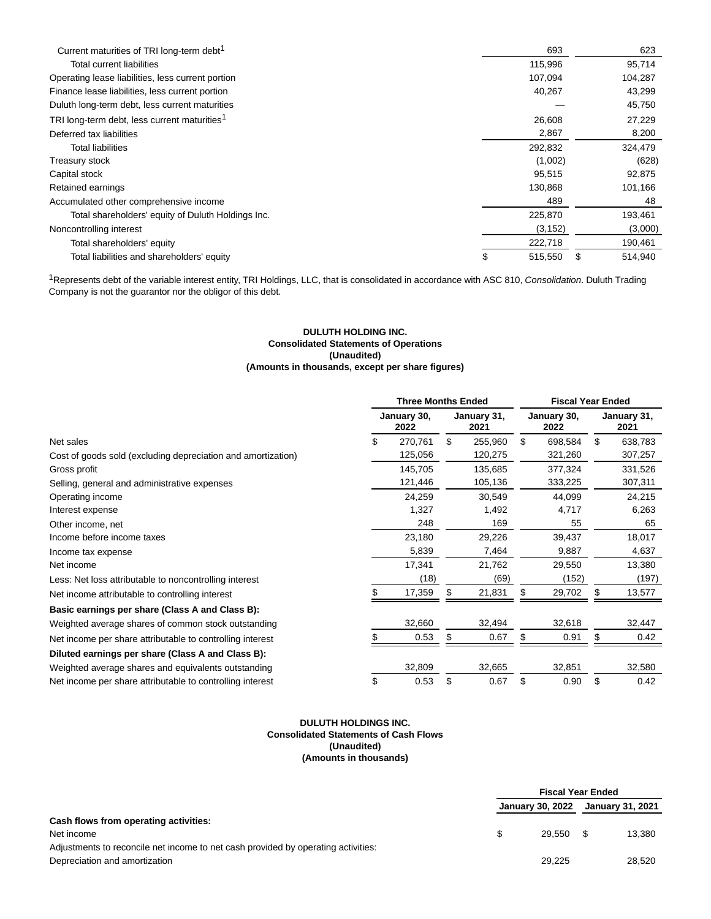| Current maturities of TRI long-term debt <sup>1</sup>    |   | 693      | 623     |
|----------------------------------------------------------|---|----------|---------|
| Total current liabilities                                |   | 115,996  | 95,714  |
| Operating lease liabilities, less current portion        |   | 107,094  | 104,287 |
| Finance lease liabilities, less current portion          |   | 40,267   | 43,299  |
| Duluth long-term debt, less current maturities           |   |          | 45,750  |
| TRI long-term debt, less current maturities <sup>1</sup> |   | 26,608   | 27,229  |
| Deferred tax liabilities                                 |   | 2,867    | 8,200   |
| <b>Total liabilities</b>                                 |   | 292,832  | 324,479 |
| Treasury stock                                           |   | (1,002)  | (628)   |
| Capital stock                                            |   | 95,515   | 92,875  |
| Retained earnings                                        |   | 130,868  | 101,166 |
| Accumulated other comprehensive income                   |   | 489      | 48      |
| Total shareholders' equity of Duluth Holdings Inc.       |   | 225,870  | 193,461 |
| Noncontrolling interest                                  |   | (3, 152) | (3,000) |
| Total shareholders' equity                               |   | 222,718  | 190,461 |
| Total liabilities and shareholders' equity               | S | 515,550  | 514,940 |

<sup>1</sup>Represents debt of the variable interest entity, TRI Holdings, LLC, that is consolidated in accordance with ASC 810, Consolidation. Duluth Trading Company is not the guarantor nor the obligor of this debt.

## **DULUTH HOLDING INC. Consolidated Statements of Operations (Unaudited) (Amounts in thousands, except per share figures)**

|                                                              | <b>Three Months Ended</b> |    |                     | <b>Fiscal Year Ended</b> |                     |    |                     |
|--------------------------------------------------------------|---------------------------|----|---------------------|--------------------------|---------------------|----|---------------------|
|                                                              | January 30,<br>2022       |    | January 31,<br>2021 |                          | January 30,<br>2022 |    | January 31,<br>2021 |
| Net sales                                                    | \$<br>270,761             | \$ | 255,960             | \$                       | 698,584             | \$ | 638,783             |
| Cost of goods sold (excluding depreciation and amortization) | 125,056                   |    | 120,275             |                          | 321,260             |    | 307,257             |
| Gross profit                                                 | 145,705                   |    | 135,685             |                          | 377,324             |    | 331,526             |
| Selling, general and administrative expenses                 | 121,446                   |    | 105,136             |                          | 333,225             |    | 307,311             |
| Operating income                                             | 24,259                    |    | 30,549              |                          | 44,099              |    | 24,215              |
| Interest expense                                             | 1,327                     |    | 1,492               |                          | 4,717               |    | 6,263               |
| Other income, net                                            | 248                       |    | 169                 |                          | 55                  |    | 65                  |
| Income before income taxes                                   | 23,180                    |    | 29,226              |                          | 39,437              |    | 18,017              |
| Income tax expense                                           | 5,839                     |    | 7,464               |                          | 9,887               |    | 4,637               |
| Net income                                                   | 17,341                    |    | 21,762              |                          | 29,550              |    | 13,380              |
| Less: Net loss attributable to noncontrolling interest       | (18)                      |    | (69)                |                          | (152)               |    | (197)               |
| Net income attributable to controlling interest              | 17,359                    |    | 21,831              |                          | 29,702              |    | 13,577              |
| Basic earnings per share (Class A and Class B):              |                           |    |                     |                          |                     |    |                     |
| Weighted average shares of common stock outstanding          | 32,660                    |    | 32,494              |                          | 32,618              |    | 32,447              |
| Net income per share attributable to controlling interest    | 0.53                      | S  | 0.67                | S                        | 0.91                | S  | 0.42                |
| Diluted earnings per share (Class A and Class B):            |                           |    |                     |                          |                     |    |                     |
| Weighted average shares and equivalents outstanding          | 32,809                    |    | 32,665              |                          | 32,851              |    | 32,580              |
| Net income per share attributable to controlling interest    | \$<br>0.53                | \$ | 0.67                | \$                       | 0.90                | \$ | 0.42                |

## **DULUTH HOLDINGS INC. Consolidated Statements of Cash Flows (Unaudited) (Amounts in thousands)**

|                                                                                   | <b>Fiscal Year Ended</b> |        |                         |        |
|-----------------------------------------------------------------------------------|--------------------------|--------|-------------------------|--------|
|                                                                                   | January 30, 2022         |        | <b>January 31, 2021</b> |        |
| Cash flows from operating activities:                                             |                          |        |                         |        |
| Net income                                                                        |                          | 29.550 | - \$                    | 13.380 |
| Adjustments to reconcile net income to net cash provided by operating activities: |                          |        |                         |        |
| Depreciation and amortization                                                     |                          | 29.225 |                         | 28,520 |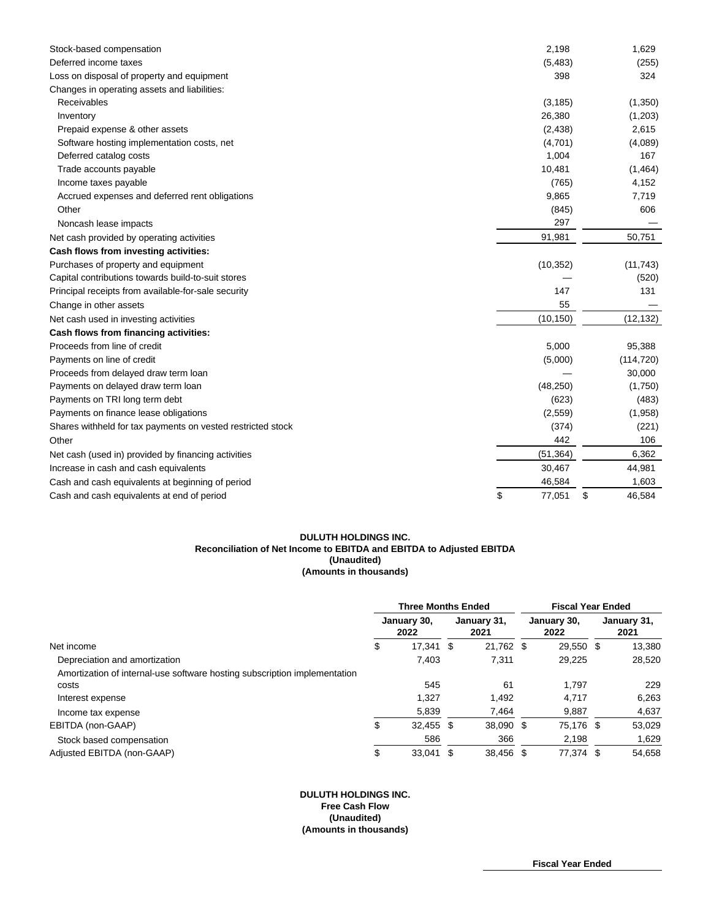| Stock-based compensation                                    | 2,198        | 1,629        |
|-------------------------------------------------------------|--------------|--------------|
| Deferred income taxes                                       | (5, 483)     | (255)        |
| Loss on disposal of property and equipment                  | 398          | 324          |
| Changes in operating assets and liabilities:                |              |              |
| Receivables                                                 | (3, 185)     | (1,350)      |
| Inventory                                                   | 26,380       | (1,203)      |
| Prepaid expense & other assets                              | (2, 438)     | 2,615        |
| Software hosting implementation costs, net                  | (4,701)      | (4,089)      |
| Deferred catalog costs                                      | 1,004        | 167          |
| Trade accounts payable                                      | 10,481       | (1,464)      |
| Income taxes payable                                        | (765)        | 4,152        |
| Accrued expenses and deferred rent obligations              | 9,865        | 7,719        |
| Other                                                       | (845)        | 606          |
| Noncash lease impacts                                       | 297          |              |
| Net cash provided by operating activities                   | 91,981       | 50,751       |
| Cash flows from investing activities:                       |              |              |
| Purchases of property and equipment                         | (10, 352)    | (11, 743)    |
| Capital contributions towards build-to-suit stores          |              | (520)        |
| Principal receipts from available-for-sale security         | 147          | 131          |
| Change in other assets                                      | 55           |              |
| Net cash used in investing activities                       | (10, 150)    | (12, 132)    |
| Cash flows from financing activities:                       |              |              |
| Proceeds from line of credit                                | 5,000        | 95,388       |
| Payments on line of credit                                  | (5,000)      | (114, 720)   |
| Proceeds from delayed draw term loan                        |              | 30,000       |
| Payments on delayed draw term loan                          | (48, 250)    | (1,750)      |
| Payments on TRI long term debt                              | (623)        | (483)        |
| Payments on finance lease obligations                       | (2,559)      | (1,958)      |
| Shares withheld for tax payments on vested restricted stock | (374)        | (221)        |
| Other                                                       | 442          | 106          |
| Net cash (used in) provided by financing activities         | (51, 364)    | 6,362        |
| Increase in cash and cash equivalents                       | 30,467       | 44,981       |
| Cash and cash equivalents at beginning of period            | 46,584       | 1,603        |
| Cash and cash equivalents at end of period                  | \$<br>77,051 | \$<br>46,584 |

#### **DULUTH HOLDINGS INC. Reconciliation of Net Income to EBITDA and EBITDA to Adjusted EBITDA (Unaudited) (Amounts in thousands)**

|                                                                           | <b>Three Months Ended</b> |                     |  | <b>Fiscal Year Ended</b> |  |                     |  |                     |
|---------------------------------------------------------------------------|---------------------------|---------------------|--|--------------------------|--|---------------------|--|---------------------|
|                                                                           |                           | January 30,<br>2022 |  | January 31,<br>2021      |  | January 30,<br>2022 |  | January 31,<br>2021 |
| Net income                                                                | \$                        | 17,341 \$           |  | 21,762 \$                |  | 29,550 \$           |  | 13,380              |
| Depreciation and amortization                                             |                           | 7,403               |  | 7,311                    |  | 29,225              |  | 28,520              |
| Amortization of internal-use software hosting subscription implementation |                           |                     |  |                          |  |                     |  |                     |
| costs                                                                     |                           | 545                 |  | 61                       |  | 1.797               |  | 229                 |
| Interest expense                                                          |                           | 1.327               |  | 1,492                    |  | 4.717               |  | 6,263               |
| Income tax expense                                                        |                           | 5,839               |  | 7,464                    |  | 9,887               |  | 4,637               |
| EBITDA (non-GAAP)                                                         | \$                        | 32,455 \$           |  | 38,090 \$                |  | 75,176 \$           |  | 53,029              |
| Stock based compensation                                                  |                           | 586                 |  | 366                      |  | 2,198               |  | 1,629               |
| Adjusted EBITDA (non-GAAP)                                                | \$                        | $33,041$ \$         |  | 38.456 \$                |  | 77,374 \$           |  | 54.658              |

# **DULUTH HOLDINGS INC. Free Cash Flow (Unaudited) (Amounts in thousands)**